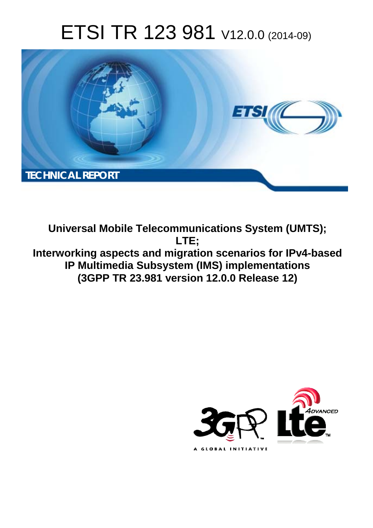# ETSI TR 123 981 V12.0.0 (2014-09)



**Universal Mobile Telecommunications System (UMTS); LTE; Interworking aspects and migration scenarios for IPv4-based IP Multimedia Subsystem (IMS) implementations (3GPP TR 23.981 version 12.0.0 Release 12)** 

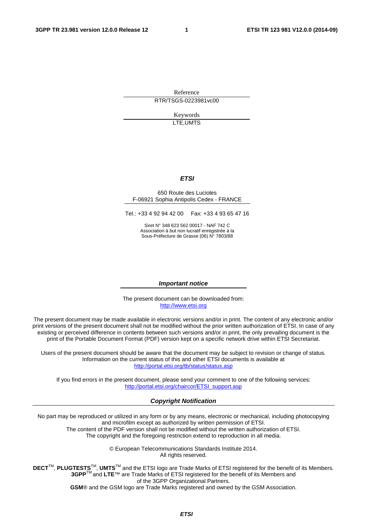Reference RTR/TSGS-0223981vc00

> Keywords LTE,UMTS

#### *ETSI*

#### 650 Route des Lucioles F-06921 Sophia Antipolis Cedex - FRANCE

Tel.: +33 4 92 94 42 00 Fax: +33 4 93 65 47 16

Siret N° 348 623 562 00017 - NAF 742 C Association à but non lucratif enregistrée à la Sous-Préfecture de Grasse (06) N° 7803/88

#### *Important notice*

The present document can be downloaded from: [http://www.etsi.org](http://www.etsi.org/)

The present document may be made available in electronic versions and/or in print. The content of any electronic and/or print versions of the present document shall not be modified without the prior written authorization of ETSI. In case of any existing or perceived difference in contents between such versions and/or in print, the only prevailing document is the print of the Portable Document Format (PDF) version kept on a specific network drive within ETSI Secretariat.

Users of the present document should be aware that the document may be subject to revision or change of status. Information on the current status of this and other ETSI documents is available at <http://portal.etsi.org/tb/status/status.asp>

If you find errors in the present document, please send your comment to one of the following services: [http://portal.etsi.org/chaircor/ETSI\\_support.asp](http://portal.etsi.org/chaircor/ETSI_support.asp)

#### *Copyright Notification*

No part may be reproduced or utilized in any form or by any means, electronic or mechanical, including photocopying and microfilm except as authorized by written permission of ETSI.

The content of the PDF version shall not be modified without the written authorization of ETSI. The copyright and the foregoing restriction extend to reproduction in all media.

> © European Telecommunications Standards Institute 2014. All rights reserved.

**DECT**TM, **PLUGTESTS**TM, **UMTS**TM and the ETSI logo are Trade Marks of ETSI registered for the benefit of its Members. **3GPP**TM and **LTE**™ are Trade Marks of ETSI registered for the benefit of its Members and of the 3GPP Organizational Partners.

**GSM**® and the GSM logo are Trade Marks registered and owned by the GSM Association.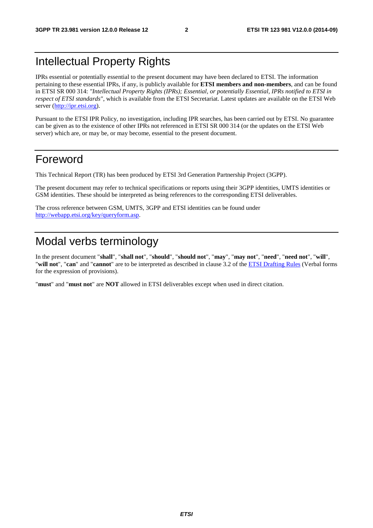## Intellectual Property Rights

IPRs essential or potentially essential to the present document may have been declared to ETSI. The information pertaining to these essential IPRs, if any, is publicly available for **ETSI members and non-members**, and can be found in ETSI SR 000 314: *"Intellectual Property Rights (IPRs); Essential, or potentially Essential, IPRs notified to ETSI in respect of ETSI standards"*, which is available from the ETSI Secretariat. Latest updates are available on the ETSI Web server [\(http://ipr.etsi.org](http://webapp.etsi.org/IPR/home.asp)).

Pursuant to the ETSI IPR Policy, no investigation, including IPR searches, has been carried out by ETSI. No guarantee can be given as to the existence of other IPRs not referenced in ETSI SR 000 314 (or the updates on the ETSI Web server) which are, or may be, or may become, essential to the present document.

## Foreword

This Technical Report (TR) has been produced by ETSI 3rd Generation Partnership Project (3GPP).

The present document may refer to technical specifications or reports using their 3GPP identities, UMTS identities or GSM identities. These should be interpreted as being references to the corresponding ETSI deliverables.

The cross reference between GSM, UMTS, 3GPP and ETSI identities can be found under [http://webapp.etsi.org/key/queryform.asp.](http://webapp.etsi.org/key/queryform.asp)

## Modal verbs terminology

In the present document "**shall**", "**shall not**", "**should**", "**should not**", "**may**", "**may not**", "**need**", "**need not**", "**will**", "**will not**", "**can**" and "**cannot**" are to be interpreted as described in clause 3.2 of the [ETSI Drafting Rules](http://portal.etsi.org/Help/editHelp!/Howtostart/ETSIDraftingRules.aspx) (Verbal forms for the expression of provisions).

"**must**" and "**must not**" are **NOT** allowed in ETSI deliverables except when used in direct citation.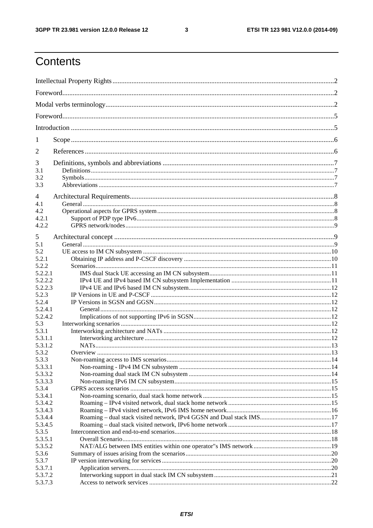$\mathbf{3}$ 

## Contents

| 1        |  |  |  |  |  |  |
|----------|--|--|--|--|--|--|
| 2        |  |  |  |  |  |  |
| 3        |  |  |  |  |  |  |
| 3.1      |  |  |  |  |  |  |
| 3.2      |  |  |  |  |  |  |
| 3.3      |  |  |  |  |  |  |
|          |  |  |  |  |  |  |
| 4<br>4.1 |  |  |  |  |  |  |
|          |  |  |  |  |  |  |
| 4.2      |  |  |  |  |  |  |
| 4.2.1    |  |  |  |  |  |  |
| 4.2.2    |  |  |  |  |  |  |
| 5        |  |  |  |  |  |  |
| 5.1      |  |  |  |  |  |  |
| 5.2      |  |  |  |  |  |  |
| 5.2.1    |  |  |  |  |  |  |
| 5.2.2    |  |  |  |  |  |  |
|          |  |  |  |  |  |  |
| 5.2.2.1  |  |  |  |  |  |  |
| 5.2.2.2  |  |  |  |  |  |  |
| 5.2.2.3  |  |  |  |  |  |  |
| 5.2.3    |  |  |  |  |  |  |
| 5.2.4    |  |  |  |  |  |  |
| 5.2.4.1  |  |  |  |  |  |  |
| 5.2.4.2  |  |  |  |  |  |  |
| 5.3      |  |  |  |  |  |  |
| 5.3.1    |  |  |  |  |  |  |
| 5.3.1.1  |  |  |  |  |  |  |
| 5.3.1.2  |  |  |  |  |  |  |
| 5.3.2    |  |  |  |  |  |  |
| 5.3.3    |  |  |  |  |  |  |
| 5.3.3.1  |  |  |  |  |  |  |
| 5.3.3.2  |  |  |  |  |  |  |
| 5.3.3.3  |  |  |  |  |  |  |
| 5.3.4    |  |  |  |  |  |  |
| 5.3.4.1  |  |  |  |  |  |  |
| 5.3.4.2  |  |  |  |  |  |  |
| 5.3.4.3  |  |  |  |  |  |  |
| 5.3.4.4  |  |  |  |  |  |  |
| 5.3.4.5  |  |  |  |  |  |  |
|          |  |  |  |  |  |  |
| 5.3.5    |  |  |  |  |  |  |
| 5.3.5.1  |  |  |  |  |  |  |
| 5.3.5.2  |  |  |  |  |  |  |
| 5.3.6    |  |  |  |  |  |  |
| 5.3.7    |  |  |  |  |  |  |
| 5.3.7.1  |  |  |  |  |  |  |
| 5.3.7.2  |  |  |  |  |  |  |
| 5.3.7.3  |  |  |  |  |  |  |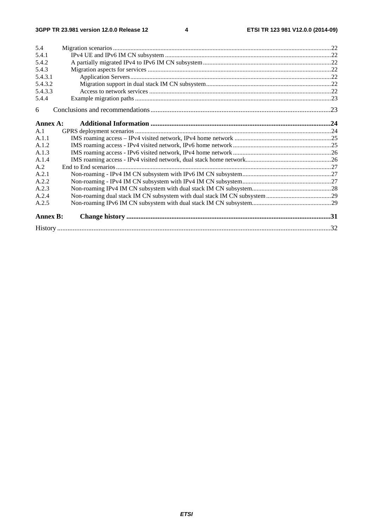| 5.4             |  |
|-----------------|--|
| 5.4.1           |  |
| 5.4.2           |  |
| 5.4.3           |  |
| 5.4.3.1         |  |
| 5.4.3.2         |  |
| 5.4.3.3         |  |
| 5.4.4           |  |
| 6               |  |
| Annex A:        |  |
| A.1             |  |
| A.1.1           |  |
| A.1.2           |  |
| A.1.3           |  |
| A.1.4           |  |
| A.2             |  |
| A.2.1           |  |
| A.2.2           |  |
| A.2.3           |  |
| A.2.4           |  |
| A.2.5           |  |
| <b>Annex B:</b> |  |
|                 |  |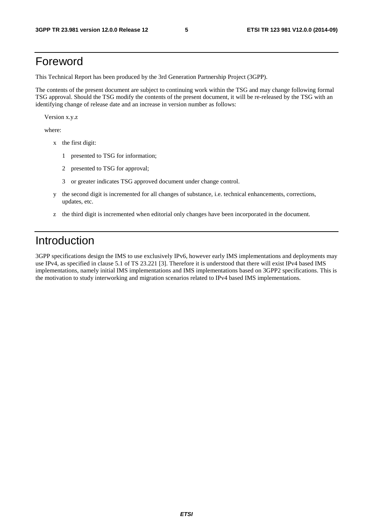## Foreword

This Technical Report has been produced by the 3rd Generation Partnership Project (3GPP).

The contents of the present document are subject to continuing work within the TSG and may change following formal TSG approval. Should the TSG modify the contents of the present document, it will be re-released by the TSG with an identifying change of release date and an increase in version number as follows:

Version x.y.z

where:

- x the first digit:
	- 1 presented to TSG for information;
	- 2 presented to TSG for approval;
	- 3 or greater indicates TSG approved document under change control.
- y the second digit is incremented for all changes of substance, i.e. technical enhancements, corrections, updates, etc.
- z the third digit is incremented when editorial only changes have been incorporated in the document.

## Introduction

3GPP specifications design the IMS to use exclusively IPv6, however early IMS implementations and deployments may use IPv4, as specified in clause 5.1 of TS 23.221 [3]. Therefore it is understood that there will exist IPv4 based IMS implementations, namely initial IMS implementations and IMS implementations based on 3GPP2 specifications. This is the motivation to study interworking and migration scenarios related to IPv4 based IMS implementations.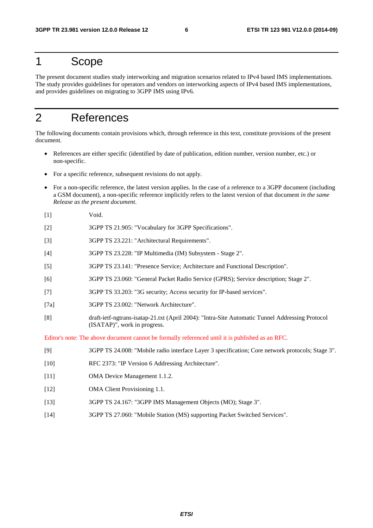## 1 Scope

The present document studies study interworking and migration scenarios related to IPv4 based IMS implementations. The study provides guidelines for operators and vendors on interworking aspects of IPv4 based IMS implementations, and provides guidelines on migrating to 3GPP IMS using IPv6.

## 2 References

The following documents contain provisions which, through reference in this text, constitute provisions of the present document.

- References are either specific (identified by date of publication, edition number, version number, etc.) or non-specific.
- For a specific reference, subsequent revisions do not apply.
- For a non-specific reference, the latest version applies. In the case of a reference to a 3GPP document (including a GSM document), a non-specific reference implicitly refers to the latest version of that document *in the same Release as the present document*.
- [1] Void.
- [2] 3GPP TS 21.905: "Vocabulary for 3GPP Specifications".
- [3] 3GPP TS 23.221: "Architectural Requirements".
- [4] 3GPP TS 23.228: "IP Multimedia (IM) Subsystem Stage 2".
- [5] 3GPP TS 23.141: "Presence Service; Architecture and Functional Description".
- [6] 3GPP TS 23.060: "General Packet Radio Service (GPRS); Service description; Stage 2".
- [7] 3GPP TS 33.203: "3G security; Access security for IP-based services".
- [7a] 3GPP TS 23.002: "Network Architecture".
- [8] draft-ietf-ngtrans-isatap-21.txt (April 2004): "Intra-Site Automatic Tunnel Addressing Protocol (ISATAP)", work in progress.

Editor's note: The above document cannot be formally referenced until it is published as an RFC.

- [9] 3GPP TS 24.008: "Mobile radio interface Layer 3 specification; Core network protocols; Stage 3".
- [10] RFC 2373: "IP Version 6 Addressing Architecture".
- [11] OMA Device Management 1.1.2.
- [12] OMA Client Provisioning 1.1.
- [13] 3GPP TS 24.167: "3GPP IMS Management Objects (MO); Stage 3".
- [14] 3GPP TS 27.060: "Mobile Station (MS) supporting Packet Switched Services".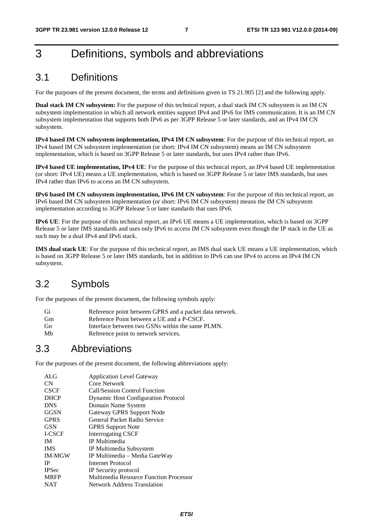## 3 Definitions, symbols and abbreviations

## 3.1 Definitions

For the purposes of the present document, the terms and definitions given in TS 21.905 [2] and the following apply.

**Dual stack IM CN subsystem:** For the purpose of this technical report, a dual stack IM CN subsystem is an IM CN subsystem implementation in which all network entities support IPv4 and IPv6 for IMS communication. It is an IM CN subsystem implementation that supports both IPv6 as per 3GPP Release 5 or later standards, and an IPv4 IM CN subsystem.

**IPv4 based IM CN subsystem implementation, IPv4 IM CN subsystem**: For the purpose of this technical report, an IPv4 based IM CN subsystem implementation (or short: IPv4 IM CN subsystem) means an IM CN subsystem implementation, which is based on 3GPP Release 5 or later standards, but uses IPv4 rather than IPv6.

**IPv4 based UE implementation, IPv4 UE**: For the purpose of this technical report, an IPv4 based UE implementation (or short: IPv4 UE) means a UE implementation, which is based on 3GPP Release 5 or later IMS standards, but uses IPv4 rather than IPv6 to access an IM CN subsystem.

**IPv6 based IM CN subsystem implementation, IPv6 IM CN subsystem**: For the purpose of this technical report, an IPv6 based IM CN subsystem implementation (or short: IPv6 IM CN subsystem) means the IM CN subsystem implementation according to 3GPP Release 5 or later standards that uses IPv6.

**IPv6 UE**: For the purpose of this technical report, an IPv6 UE means a UE implementation, which is based on 3GPP Release 5 or later IMS standards and uses only IPv6 to access IM CN subsystem even though the IP stack in the UE as such may be a dual IPv4 and IPv6 stack.

**IMS dual stack UE**: For the purpose of this technical report, an IMS dual stack UE means a UE implementation, which is based on 3GPP Release 5 or later IMS standards, but in addition to IPv6 can use IPv4 to access an IPv4 IM CN subsystem.

## 3.2 Symbols

For the purposes of the present document, the following symbols apply:

| Gi        | Reference point between GPRS and a packet data network. |
|-----------|---------------------------------------------------------|
| <b>Gm</b> | Reference Point between a UE and a P-CSCF.              |
| <b>Gn</b> | Interface between two GSNs within the same PLMN.        |
| Mb        | Reference point to network services.                    |

## 3.3 Abbreviations

For the purposes of the present document, the following abbreviations apply:

| ALG           | <b>Application Level Gateway</b>           |
|---------------|--------------------------------------------|
| CN            | Core Network                               |
| <b>CSCF</b>   | <b>Call/Session Control Function</b>       |
| <b>DHCP</b>   | <b>Dynamic Host Configuration Protocol</b> |
| <b>DNS</b>    | Domain Name System                         |
| <b>GGSN</b>   | Gateway GPRS Support Node                  |
| <b>GPRS</b>   | General Packet Radio Service               |
| <b>GSN</b>    | <b>GPRS</b> Support Note                   |
| <b>I-CSCF</b> | <b>Interrogating CSCF</b>                  |
| <b>IM</b>     | IP Multimedia                              |
| <b>IMS</b>    | IP Multimedia Subsystem                    |
| <b>IM-MGW</b> | IP Multimedia – Media GateWay              |
| <b>IP</b>     | Internet Protocol                          |
| <b>IPSec</b>  | IP Security protocol                       |
| <b>MRFP</b>   | Multimedia Resource Function Processor     |
| <b>NAT</b>    | <b>Network Address Translation</b>         |
|               |                                            |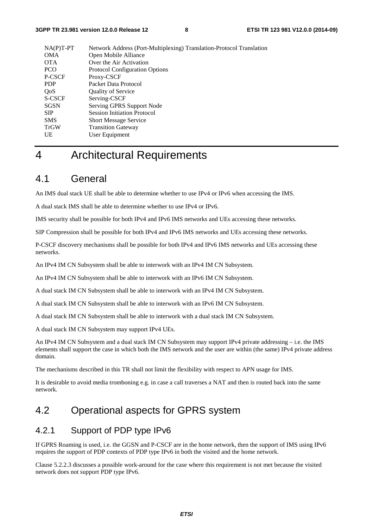| $NA(P)T-PT$ | Network Address (Port-Multiplexing) Translation-Protocol Translation |
|-------------|----------------------------------------------------------------------|
| <b>OMA</b>  | Open Mobile Alliance                                                 |
| <b>OTA</b>  | Over the Air Activation                                              |
| <b>PCO</b>  | <b>Protocol Configuration Options</b>                                |
| P-CSCF      | Proxy-CSCF                                                           |
| <b>PDP</b>  | Packet Data Protocol                                                 |
| QoS         | <b>Quality of Service</b>                                            |
| S-CSCF      | Serving-CSCF                                                         |
| <b>SGSN</b> | Serving GPRS Support Node                                            |
| <b>SIP</b>  | <b>Session Initiation Protocol</b>                                   |
| <b>SMS</b>  | <b>Short Message Service</b>                                         |
| <b>TrGW</b> | <b>Transition Gateway</b>                                            |
| UE          | User Equipment                                                       |
|             |                                                                      |

## 4 Architectural Requirements

## 4.1 General

An IMS dual stack UE shall be able to determine whether to use IPv4 or IPv6 when accessing the IMS.

A dual stack IMS shall be able to determine whether to use IPv4 or IPv6.

IMS security shall be possible for both IPv4 and IPv6 IMS networks and UEs accessing these networks.

SIP Compression shall be possible for both IPv4 and IPv6 IMS networks and UEs accessing these networks.

P-CSCF discovery mechanisms shall be possible for both IPv4 and IPv6 IMS networks and UEs accessing these networks.

An IPv4 IM CN Subsystem shall be able to interwork with an IPv4 IM CN Subsystem.

An IPv4 IM CN Subsystem shall be able to interwork with an IPv6 IM CN Subsystem.

A dual stack IM CN Subsystem shall be able to interwork with an IPv4 IM CN Subsystem.

A dual stack IM CN Subsystem shall be able to interwork with an IPv6 IM CN Subsystem.

A dual stack IM CN Subsystem shall be able to interwork with a dual stack IM CN Subsystem.

A dual stack IM CN Subsystem may support IPv4 UEs.

An IPv4 IM CN Subsystem and a dual stack IM CN Subsystem may support IPv4 private addressing – i.e. the IMS elements shall support the case in which both the IMS network and the user are within (the same) IPv4 private address domain.

The mechanisms described in this TR shall not limit the flexibility with respect to APN usage for IMS.

It is desirable to avoid media tromboning e.g. in case a call traverses a NAT and then is routed back into the same network.

## 4.2 Operational aspects for GPRS system

### 4.2.1 Support of PDP type IPv6

If GPRS Roaming is used, i.e. the GGSN and P-CSCF are in the home network, then the support of IMS using IPv6 requires the support of PDP contexts of PDP type IPv6 in both the visited and the home network.

Clause 5.2.2.3 discusses a possible work-around for the case where this requirement is not met because the visited network does not support PDP type IPv6.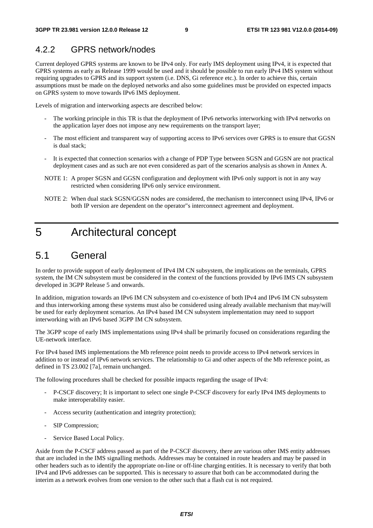### 4.2.2 GPRS network/nodes

Current deployed GPRS systems are known to be IPv4 only. For early IMS deployment using IPv4, it is expected that GPRS systems as early as Release 1999 would be used and it should be possible to run early IPv4 IMS system without requiring upgrades to GPRS and its support system (i.e. DNS, Gi reference etc.). In order to achieve this, certain assumptions must be made on the deployed networks and also some guidelines must be provided on expected impacts on GPRS system to move towards IPv6 IMS deployment.

Levels of migration and interworking aspects are described below:

- The working principle in this TR is that the deployment of IPv6 networks interworking with IPv4 networks on the application layer does not impose any new requirements on the transport layer;
- The most efficient and transparent way of supporting access to IPv6 services over GPRS is to ensure that GGSN is dual stack;
- It is expected that connection scenarios with a change of PDP Type between SGSN and GGSN are not practical deployment cases and as such are not even considered as part of the scenarios analysis as shown in Annex A.
- NOTE 1: A proper SGSN and GGSN configuration and deployment with IPv6 only support is not in any way restricted when considering IPv6 only service environment.
- NOTE 2: When dual stack SGSN/GGSN nodes are considered, the mechanism to interconnect using IPv4, IPv6 or both IP version are dependent on the operator"s interconnect agreement and deployment.

## 5 Architectural concept

## 5.1 General

In order to provide support of early deployment of IPv4 IM CN subsystem, the implications on the terminals, GPRS system, the IM CN subsystem must be considered in the context of the functions provided by IPv6 IMS CN subsystem developed in 3GPP Release 5 and onwards.

In addition, migration towards an IPv6 IM CN subsystem and co-existence of both IPv4 and IPv6 IM CN subsystem and thus interworking among these systems must also be considered using already available mechanism that may/will be used for early deployment scenarios. An IPv4 based IM CN subsystem implementation may need to support interworking with an IPv6 based 3GPP IM CN subsystem.

The 3GPP scope of early IMS implementations using IPv4 shall be primarily focused on considerations regarding the UE-network interface.

For IPv4 based IMS implementations the Mb reference point needs to provide access to IPv4 network services in addition to or instead of IPv6 network services. The relationship to Gi and other aspects of the Mb reference point, as defined in TS 23.002 [7a], remain unchanged.

The following procedures shall be checked for possible impacts regarding the usage of IPv4:

- P-CSCF discovery; It is important to select one single P-CSCF discovery for early IPv4 IMS deployments to make interoperability easier.
- Access security (authentication and integrity protection);
- SIP Compression;
- Service Based Local Policy.

Aside from the P-CSCF address passed as part of the P-CSCF discovery, there are various other IMS entity addresses that are included in the IMS signalling methods. Addresses may be contained in route headers and may be passed in other headers such as to identify the appropriate on-line or off-line charging entities. It is necessary to verify that both IPv4 and IPv6 addresses can be supported. This is necessary to assure that both can be accommodated during the interim as a network evolves from one version to the other such that a flash cut is not required.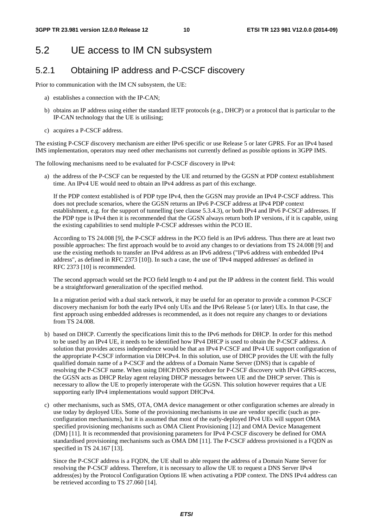## 5.2 UE access to IM CN subsystem

## 5.2.1 Obtaining IP address and P-CSCF discovery

Prior to communication with the IM CN subsystem, the UE:

- a) establishes a connection with the IP-CAN;
- b) obtains an IP address using either the standard IETF protocols (e.g., DHCP) or a protocol that is particular to the IP-CAN technology that the UE is utilising;
- c) acquires a P-CSCF address.

The existing P-CSCF discovery mechanism are either IPv6 specific or use Release 5 or later GPRS. For an IPv4 based IMS implementation, operators may need other mechanisms not currently defined as possible options in 3GPP IMS.

The following mechanisms need to be evaluated for P-CSCF discovery in IPv4:

a) the address of the P-CSCF can be requested by the UE and returned by the GGSN at PDP context establishment time. An IPv4 UE would need to obtain an IPv4 address as part of this exchange.

If the PDP context established is of PDP type IPv4, then the GGSN may provide an IPv4 P-CSCF address. This does not preclude scenarios, where the GGSN returns an IPv6 P-CSCF address at IPv4 PDP context establishment, e.g. for the support of tunnelling (see clause 5.3.4.3), or both IPv4 and IPv6 P-CSCF addresses. If the PDP type is IPv4 then it is recommended that the GGSN always return both IP versions, if it is capable, using the existing capabilities to send multiple P-CSCF addresses within the PCO IE.

According to TS 24.008 [9], the P-CSCF address in the PCO field is an IPv6 address. Thus there are at least two possible approaches: The first approach would be to avoid any changes to or deviations from TS 24.008 [9] and use the existing methods to transfer an IPv4 address as an IPv6 address ("IPv6 address with embedded IPv4 address", as defined in RFC 2373 [10]). In such a case, the use of 'IPv4 mapped addresses' as defined in RFC 2373 [10] is recommended.

The second approach would set the PCO field length to 4 and put the IP address in the content field. This would be a straightforward generalization of the specified method.

In a migration period with a dual stack network, it may be useful for an operator to provide a common P-CSCF discovery mechanism for both the early IPv4 only UEs and the IPv6 Release 5 (or later) UEs. In that case, the first approach using embedded addresses is recommended, as it does not require any changes to or deviations from TS 24.008.

- b) based on DHCP. Currently the specifications limit this to the IPv6 methods for DHCP. In order for this method to be used by an IPv4 UE, it needs to be identified how IPv4 DHCP is used to obtain the P-CSCF address. A solution that provides access independence would be that an IPv4 P-CSCF and IPv4 UE support configuration of the appropriate P-CSCF information via DHCPv4. In this solution, use of DHCP provides the UE with the fully qualified domain name of a P-CSCF and the address of a Domain Name Server (DNS) that is capable of resolving the P-CSCF name. When using DHCP/DNS procedure for P-CSCF discovery with IPv4 GPRS-access, the GGSN acts as DHCP Relay agent relaying DHCP messages between UE and the DHCP server. This is necessary to allow the UE to properly interoperate with the GGSN. This solution however requires that a UE supporting early IPv4 implementations would support DHCPv4.
- c) other mechanisms, such as SMS, OTA, OMA device management or other configuration schemes are already in use today by deployed UEs. Some of the provisioning mechanisms in use are vendor specific (such as preconfiguration mechanisms), but it is assumed that most of the early-deployed IPv4 UEs will support OMA specified provisioning mechanisms such as OMA Client Provisioning [12] and OMA Device Management (DM) [11]. It is recommended that provisioning parameters for IPv4 P-CSCF discovery be defined for OMA standardised provisioning mechanisms such as OMA DM [11]. The P-CSCF address provisioned is a FQDN as specified in TS 24.167 [13].

 Since the P-CSCF address is a FQDN, the UE shall to able request the address of a Domain Name Server for resolving the P-CSCF address. Therefore, it is necessary to allow the UE to request a DNS Server IPv4 address(es) by the Protocol Configuration Options IE when activating a PDP context. The DNS IPv4 address can be retrieved according to TS 27.060 [14].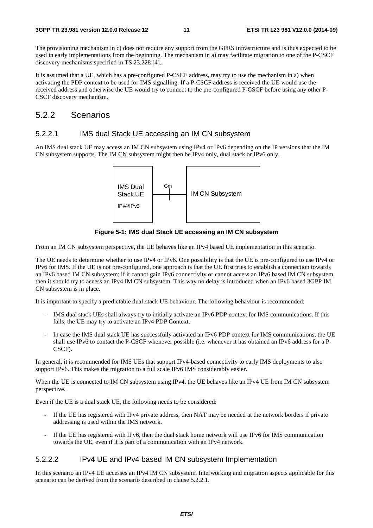The provisioning mechanism in c) does not require any support from the GPRS infrastructure and is thus expected to be used in early implementations from the beginning. The mechanism in a) may facilitate migration to one of the P-CSCF discovery mechanisms specified in TS 23.228 [4].

It is assumed that a UE, which has a pre-configured P-CSCF address, may try to use the mechanism in a) when activating the PDP context to be used for IMS signalling. If a P-CSCF address is received the UE would use the received address and otherwise the UE would try to connect to the pre-configured P-CSCF before using any other P-CSCF discovery mechanism.

### 5.2.2 Scenarios

#### 5.2.2.1 IMS dual Stack UE accessing an IM CN subsystem

An IMS dual stack UE may access an IM CN subsystem using IPv4 or IPv6 depending on the IP versions that the IM CN subsystem supports. The IM CN subsystem might then be IPv4 only, dual stack or IPv6 only.



**Figure 5-1: IMS dual Stack UE accessing an IM CN subsystem** 

From an IM CN subsystem perspective, the UE behaves like an IPv4 based UE implementation in this scenario.

The UE needs to determine whether to use IPv4 or IPv6. One possibility is that the UE is pre-configured to use IPv4 or IPv6 for IMS. If the UE is not pre-configured, one approach is that the UE first tries to establish a connection towards an IPv6 based IM CN subsystem; if it cannot gain IPv6 connectivity or cannot access an IPv6 based IM CN subsystem, then it should try to access an IPv4 IM CN subsystem. This way no delay is introduced when an IPv6 based 3GPP IM CN subsystem is in place.

It is important to specify a predictable dual-stack UE behaviour. The following behaviour is recommended:

- IMS dual stack UEs shall always try to initially activate an IPv6 PDP context for IMS communications. If this fails, the UE may try to activate an IPv4 PDP Context.
- In case the IMS dual stack UE has successfully activated an IPv6 PDP context for IMS communications, the UE shall use IPv6 to contact the P-CSCF whenever possible (i.e. whenever it has obtained an IPv6 address for a P-CSCF).

In general, it is recommended for IMS UEs that support IPv4-based connectivity to early IMS deployments to also support IPv6. This makes the migration to a full scale IPv6 IMS considerably easier.

When the UE is connected to IM CN subsystem using IPv4, the UE behaves like an IPv4 UE from IM CN subsystem perspective.

Even if the UE is a dual stack UE, the following needs to be considered:

- If the UE has registered with IPv4 private address, then NAT may be needed at the network borders if private addressing is used within the IMS network.
- If the UE has registered with IPv6, then the dual stack home network will use IPv6 for IMS communication towards the UE, even if it is part of a communication with an IPv4 network.

#### 5.2.2.2 IPv4 UE and IPv4 based IM CN subsystem Implementation

In this scenario an IPv4 UE accesses an IPv4 IM CN subsystem. Interworking and migration aspects applicable for this scenario can be derived from the scenario described in clause 5.2.2.1.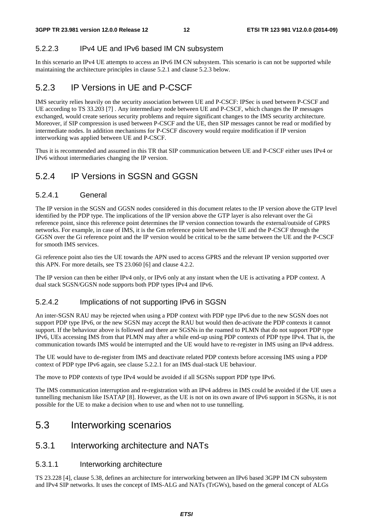#### 5.2.2.3 IPv4 UE and IPv6 based IM CN subsystem

In this scenario an IPv4 UE attempts to access an IPv6 IM CN subsystem. This scenario is can not be supported while maintaining the architecture principles in clause 5.2.1 and clause 5.2.3 below.

### 5.2.3 IP Versions in UE and P-CSCF

IMS security relies heavily on the security association between UE and P-CSCF: IPSec is used between P-CSCF and UE according to TS 33.203 [7] . Any intermediary node between UE and P-CSCF, which changes the IP messages exchanged, would create serious security problems and require significant changes to the IMS security architecture. Moreover, if SIP compression is used between P-CSCF and the UE, then SIP messages cannot be read or modified by intermediate nodes. In addition mechanisms for P-CSCF discovery would require modification if IP version interworking was applied between UE and P-CSCF.

Thus it is recommended and assumed in this TR that SIP communication between UE and P-CSCF either uses IPv4 or IPv6 without intermediaries changing the IP version.

### 5.2.4 IP Versions in SGSN and GGSN

#### 5.2.4.1 General

The IP version in the SGSN and GGSN nodes considered in this document relates to the IP version above the GTP level identified by the PDP type. The implications of the IP version above the GTP layer is also relevant over the Gi reference point, since this reference point determines the IP version connection towards the external/outside of GPRS networks. For example, in case of IMS, it is the Gm reference point between the UE and the P-CSCF through the GGSN over the Gi reference point and the IP version would be critical to be the same between the UE and the P-CSCF for smooth IMS services.

Gi reference point also ties the UE towards the APN used to access GPRS and the relevant IP version supported over this APN. For more details, see TS 23.060 [6] and clause 4.2.2.

The IP version can then be either IPv4 only, or IPv6 only at any instant when the UE is activating a PDP context. A dual stack SGSN/GGSN node supports both PDP types IPv4 and IPv6.

#### 5.2.4.2 Implications of not supporting IPv6 in SGSN

An inter-SGSN RAU may be rejected when using a PDP context with PDP type IPv6 due to the new SGSN does not support PDP type IPv6, or the new SGSN may accept the RAU but would then de-activate the PDP contexts it cannot support. If the behaviour above is followed and there are SGSNs in the roamed to PLMN that do not support PDP type IPv6, UEs accessing IMS from that PLMN may after a while end-up using PDP contexts of PDP type IPv4. That is, the communication towards IMS would be interrupted and the UE would have to re-register in IMS using an IPv4 address.

The UE would have to de-register from IMS and deactivate related PDP contexts before accessing IMS using a PDP context of PDP type IPv6 again, see clause 5.2.2.1 for an IMS dual-stack UE behaviour.

The move to PDP contexts of type IPv4 would be avoided if all SGSNs support PDP type IPv6.

The IMS communication interruption and re-registration with an IPv4 address in IMS could be avoided if the UE uses a tunnelling mechanism like ISATAP [8]. However, as the UE is not on its own aware of IPv6 support in SGSNs, it is not possible for the UE to make a decision when to use and when not to use tunnelling.

## 5.3 Interworking scenarios

### 5.3.1 Interworking architecture and NATs

#### 5.3.1.1 Interworking architecture

TS 23.228 [4], clause 5.38, defines an architecture for interworking between an IPv6 based 3GPP IM CN subsystem and IPv4 SIP networks. It uses the concept of IMS-ALG and NATs (TrGWs), based on the general concept of ALGs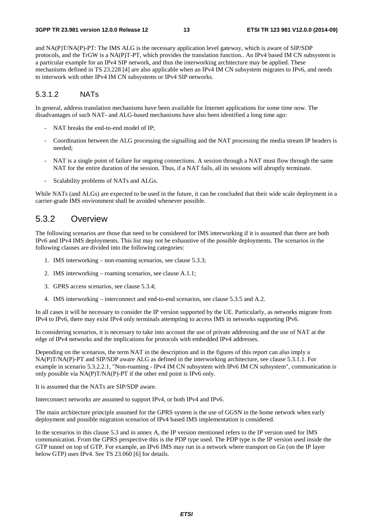and NA(P)T/NA(P)-PT: The IMS ALG is the necessary application level gateway, which is aware of SIP/SDP protocols, and the TrGW is a NA(P)T-PT, which provides the translation function.. An IPv4 based IM CN subsystem is a particular example for an IPv4 SIP network, and thus the interworking architecture may be applied. These mechanisms defined in TS 23.228 [4] are also applicable when an IPv4 IM CN subsystem migrates to IPv6, and needs to interwork with other IPv4 IM CN subsystems or IPv4 SIP networks.

#### 5.3.1.2 NATs

In general, address translation mechanisms have been available for Internet applications for some time now. The disadvantages of such NAT- and ALG-based mechanisms have also been identified a long time ago:

- NAT breaks the end-to-end model of IP;
- Coordination between the ALG processing the signalling and the NAT processing the media stream IP headers is needed;
- NAT is a single point of failure for ongoing connections. A session through a NAT must flow through the same NAT for the entire duration of the session. Thus, if a NAT fails, all its sessions will abruptly terminate.
- Scalability problems of NATs and ALGs.

While NATs (and ALGs) are expected to be used in the future, it can be concluded that their wide scale deployment in a carrier-grade IMS environment shall be avoided whenever possible.

### 5.3.2 Overview

The following scenarios are those that need to be considered for IMS interworking if it is assumed that there are both IPv6 and IPv4 IMS deployments. This list may not be exhaustive of the possible deployments. The scenarios in the following clauses are divided into the following categories:

- 1. IMS interworking non-roaming scenarios, see clause 5.3.3;
- 2. IMS interworking roaming scenarios, see clause A.1.1;
- 3. GPRS access scenarios, see clause 5.3.4;
- 4. IMS interworking interconnect and end-to-end scenarios, see clause 5.3.5 and A.2.

In all cases it will be necessary to consider the IP version supported by the UE. Particularly, as networks migrate from IPv4 to IPv6, there may exist IPv4 only terminals attempting to access IMS in networks supporting IPv6.

In considering scenarios, it is necessary to take into account the use of private addressing and the use of NAT at the edge of IPv4 networks and the implications for protocols with embedded IPv4 addresses.

Depending on the scenarios, the term NAT in the description and in the figures of this report can also imply a NA(P)T/NA(P)-PT and SIP/SDP aware ALG as defined in the interworking architecture, see clause 5.3.1.1. For example in scenario 5.3.2.2.1, "Non-roaming - IPv4 IM CN subsystem with IPv6 IM CN subsystem", communication is only possible via NA(P)T/NA(P)-PT if the other end point is IPv6 only.

It is assumed that the NATs are SIP/SDP aware.

Interconnect networks are assumed to support IPv4, or both IPv4 and IPv6.

The main architecture principle assumed for the GPRS system is the use of GGSN in the home network when early deployment and possible migration scenarios of IPv4 based IMS implementation is considered.

In the scenarios in this clause 5.3 and in annex A, the IP version mentioned refers to the IP version used for IMS communication. From the GPRS perspective this is the PDP type used. The PDP type is the IP version used inside the GTP tunnel on top of GTP. For example, an IPv6 IMS may run in a network where transport on Gn (on the IP layer below GTP) uses IPv4. See TS 23.060 [6] for details.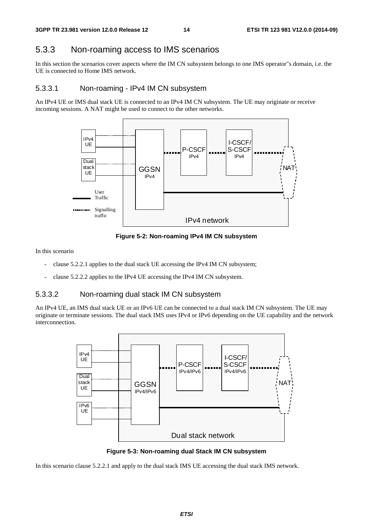### 5.3.3 Non-roaming access to IMS scenarios

In this section the scenarios cover aspects where the IM CN subsystem belongs to one IMS operator"s domain, i.e. the UE is connected to Home IMS network.

#### 5.3.3.1 Non-roaming - IPv4 IM CN subsystem

An IPv4 UE or IMS dual stack UE is connected to an IPv4 IM CN subsystem. The UE may originate or receive incoming sessions. A NAT might be used to connect to the other networks.



**Figure 5-2: Non-roaming IPv4 IM CN subsystem** 

In this scenario

- clause 5.2.2.1 applies to the dual stack UE accessing the IPv4 IM CN subsystem;
- clause 5.2.2.2 applies to the IPv4 UE accessing the IPv4 IM CN subsystem.

#### 5.3.3.2 Non-roaming dual stack IM CN subsystem

An IPv4 UE, an IMS dual stack UE or an IPv6 UE can be connected to a dual stack IM CN subsystem. The UE may originate or terminate sessions. The dual stack IMS uses IPv4 or IPv6 depending on the UE capability and the network interconnection.



**Figure 5-3: Non-roaming dual Stack IM CN subsystem** 

In this scenario clause 5.2.2.1 and apply to the dual stack IMS UE accessing the dual stack IMS network.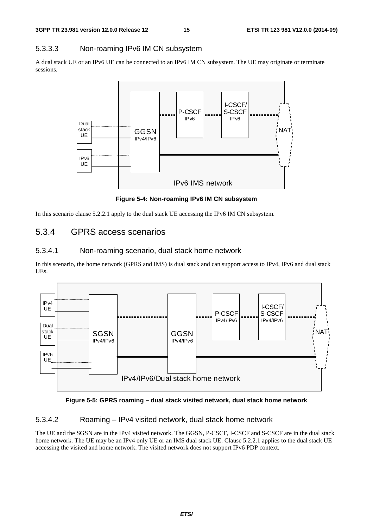#### 5.3.3.3 Non-roaming IPv6 IM CN subsystem

A dual stack UE or an IPv6 UE can be connected to an IPv6 IM CN subsystem. The UE may originate or terminate sessions.



**Figure 5-4: Non-roaming IPv6 IM CN subsystem** 

In this scenario clause 5.2.2.1 apply to the dual stack UE accessing the IPv6 IM CN subsystem.

### 5.3.4 GPRS access scenarios

#### 5.3.4.1 Non-roaming scenario, dual stack home network

In this scenario, the home network (GPRS and IMS) is dual stack and can support access to IPv4, IPv6 and dual stack UEs.



**Figure 5-5: GPRS roaming – dual stack visited network, dual stack home network** 

#### 5.3.4.2 Roaming – IPv4 visited network, dual stack home network

The UE and the SGSN are in the IPv4 visited network. The GGSN, P-CSCF, I-CSCF and S-CSCF are in the dual stack home network. The UE may be an IPv4 only UE or an IMS dual stack UE. Clause 5.2.2.1 applies to the dual stack UE accessing the visited and home network. The visited network does not support IPv6 PDP context.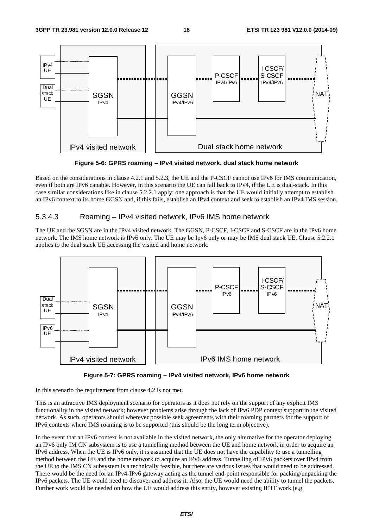

**Figure 5-6: GPRS roaming – IPv4 visited network, dual stack home network** 

Based on the considerations in clause 4.2.1 and 5.2.3, the UE and the P-CSCF cannot use IPv6 for IMS communication, even if both are IPv6 capable. However, in this scenario the UE can fall back to IPv4, if the UE is dual-stack. In this case similar considerations like in clause 5.2.2.1 apply: one approach is that the UE would initially attempt to establish an IPv6 context to its home GGSN and, if this fails, establish an IPv4 context and seek to establish an IPv4 IMS session.

#### 5.3.4.3 Roaming – IPv4 visited network, IPv6 IMS home network

The UE and the SGSN are in the IPv4 visited network. The GGSN, P-CSCF, I-CSCF and S-CSCF are in the IPv6 home network. The IMS home network is IPv6 only. The UE may be Ipv6 only or may be IMS dual stack UE. Clause 5.2.2.1 applies to the dual stack UE accessing the visited and home network.





In this scenario the requirement from clause 4.2 is not met.

This is an attractive IMS deployment scenario for operators as it does not rely on the support of any explicit IMS functionality in the visited network; however problems arise through the lack of IPv6 PDP context support in the visited network. As such, operators should wherever possible seek agreements with their roaming partners for the support of IPv6 contexts where IMS roaming is to be supported (this should be the long term objective).

In the event that an IPv6 context is not available in the visited network, the only alternative for the operator deploying an IPv6 only IM CN subsystem is to use a tunnelling method between the UE and home network in order to acquire an IPv6 address. When the UE is IPv6 only, it is assumed that the UE does not have the capability to use a tunnelling method between the UE and the home network to acquire an IPv6 address. Tunnelling of IPv6 packets over IPv4 from the UE to the IMS CN subsystem is a technically feasible, but there are various issues that would need to be addressed. There would be the need for an IPv4-IPv6 gateway acting as the tunnel end-point responsible for packing/unpacking the IPv6 packets. The UE would need to discover and address it. Also, the UE would need the ability to tunnel the packets. Further work would be needed on how the UE would address this entity, however existing IETF work (e.g.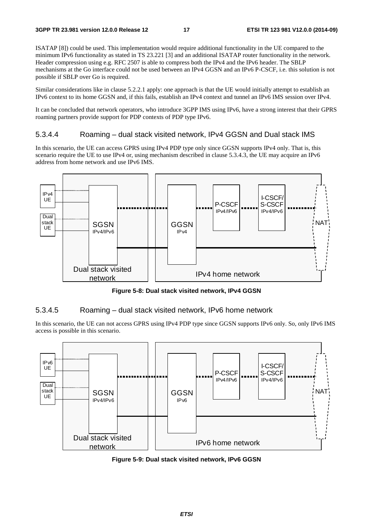ISATAP [8]) could be used. This implementation would require additional functionality in the UE compared to the minimum IPv6 functionality as stated in TS 23.221 [3] and an additional ISATAP router functionality in the network. Header compression using e.g. RFC 2507 is able to compress both the IPv4 and the IPv6 header. The SBLP mechanisms at the Go interface could not be used between an IPv4 GGSN and an IPv6 P-CSCF, i.e. this solution is not possible if SBLP over Go is required.

Similar considerations like in clause 5.2.2.1 apply: one approach is that the UE would initially attempt to establish an IPv6 context to its home GGSN and, if this fails, establish an IPv4 context and tunnel an IPv6 IMS session over IPv4.

It can be concluded that network operators, who introduce 3GPP IMS using IPv6, have a strong interest that their GPRS roaming partners provide support for PDP contexts of PDP type IPv6.

#### 5.3.4.4 Roaming – dual stack visited network, IPv4 GGSN and Dual stack IMS

In this scenario, the UE can access GPRS using IPv4 PDP type only since GGSN supports IPv4 only. That is, this scenario require the UE to use IPv4 or, using mechanism described in clause 5.3.4.3, the UE may acquire an IPv6 address from home network and use IPv6 IMS.



**Figure 5-8: Dual stack visited network, IPv4 GGSN** 

#### 5.3.4.5 Roaming – dual stack visited network, IPv6 home network

In this scenario, the UE can not access GPRS using IPv4 PDP type since GGSN supports IPv6 only. So, only IPv6 IMS access is possible in this scenario.



**Figure 5-9: Dual stack visited network, IPv6 GGSN**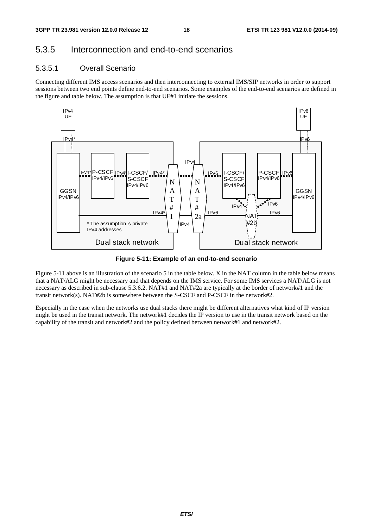## 5.3.5 Interconnection and end-to-end scenarios

### 5.3.5.1 Overall Scenario

Connecting different IMS access scenarios and then interconnecting to external IMS/SIP networks in order to support sessions between two end points define end-to-end scenarios. Some examples of the end-to-end scenarios are defined in the figure and table below. The assumption is that UE#1 initiate the sessions.



**Figure 5-11: Example of an end-to-end scenario** 

Figure 5-11 above is an illustration of the scenario 5 in the table below. X in the NAT column in the table below means that a NAT/ALG might be necessary and that depends on the IMS service. For some IMS services a NAT/ALG is not necessary as described in sub-clause 5.3.6.2. NAT#1 and NAT#2a are typically at the border of network#1 and the transit network(s). NAT#2b is somewhere between the S-CSCF and P-CSCF in the network#2.

Especially in the case when the networks use dual stacks there might be different alternatives what kind of IP version might be used in the transit network. The network#1 decides the IP version to use in the transit network based on the capability of the transit and network#2 and the policy defined between network#1 and network#2.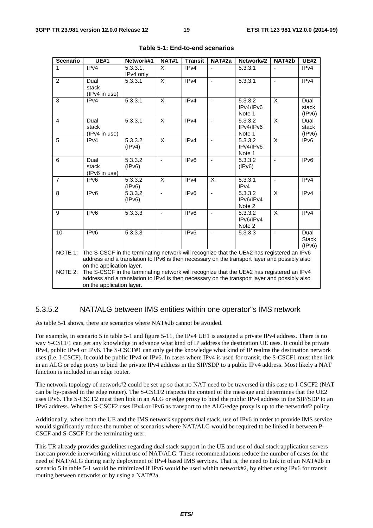| <b>Scenario</b>                                                                                                                                                                                                                   | <b>UE#1</b>                                                                                                                                                                                                            | Network#1             | <b>NAT#1</b>   | <b>Transit</b>   | NAT#2a                   | Network#2                      | NAT#2b | <b>UE#2</b>                    |
|-----------------------------------------------------------------------------------------------------------------------------------------------------------------------------------------------------------------------------------|------------------------------------------------------------------------------------------------------------------------------------------------------------------------------------------------------------------------|-----------------------|----------------|------------------|--------------------------|--------------------------------|--------|--------------------------------|
| 1                                                                                                                                                                                                                                 | IP <sub>v4</sub>                                                                                                                                                                                                       | 5.3.3.1,<br>IPv4 only | $\mathsf{x}$   | IPv4             |                          | 5.3.3.1                        |        | IPv4                           |
| $\overline{2}$                                                                                                                                                                                                                    | Dual<br>stack<br>(IPv4 in use)                                                                                                                                                                                         | 5.3.3.1               | X              | IPv4             | $\overline{a}$           | 5.3.3.1                        |        | IP <sub>v4</sub>               |
| 3                                                                                                                                                                                                                                 | IPv4                                                                                                                                                                                                                   | 5.3.3.1               | X              | IPv4             | ÷,                       | 5.3.3.2<br>IPv4/IPv6<br>Note 1 | X      | Dual<br>stack<br>(IPv6)        |
| 4                                                                                                                                                                                                                                 | Dual<br>stack<br>(IPv4 in use)                                                                                                                                                                                         | 5.3.3.1               | X              | IPv4             | $\overline{\phantom{a}}$ | 5.3.3.2<br>IPv4/IPv6<br>Note 1 | X      | Dual<br>stack<br>(IPv6)        |
| 5                                                                                                                                                                                                                                 | IPv4                                                                                                                                                                                                                   | 5.3.3.2<br>(IPv4)     | X              | IPv4             | $\blacksquare$           | 5.3.3.2<br>IPv4/IPv6<br>Note 1 | X      | IPv6                           |
| 6                                                                                                                                                                                                                                 | Dual<br>stack<br>(IPv6 in use)                                                                                                                                                                                         | 5.3.3.2<br>(IPv6)     |                | IP <sub>v6</sub> |                          | 5.3.3.2<br>(IPv6)              |        | IPv6                           |
| $\overline{7}$                                                                                                                                                                                                                    | IPv6                                                                                                                                                                                                                   | 5.3.3.2<br>(IPV6)     | X              | IPv4             | X                        | 5.3.3.1<br>IPv4                |        | IPv4                           |
| 8                                                                                                                                                                                                                                 | IPv6                                                                                                                                                                                                                   | 5.3.3.2<br>(IPV6)     | $\blacksquare$ | IP <sub>v6</sub> | ä,                       | 5.3.3.2<br>IPv6/IPv4<br>Note 2 | X      | IPv4                           |
| 9                                                                                                                                                                                                                                 | IP <sub>v6</sub>                                                                                                                                                                                                       | 5.3.3.3               | $\blacksquare$ | IP <sub>v6</sub> | $\blacksquare$           | 5.3.3.2<br>IPv6/IPv4<br>Note 2 | X      | IPv4                           |
| 10                                                                                                                                                                                                                                | IP <sub>v6</sub>                                                                                                                                                                                                       | 5.3.3.3               |                | IP <sub>v6</sub> |                          | 5.3.3.3                        |        | Dual<br><b>Stack</b><br>(IPv6) |
| The S-CSCF in the terminating network will recognize that the UE#2 has registered an IPv6<br>NOTE 1:<br>address and a translation to IPv6 is then necessary on the transport layer and possibly also<br>on the application layer. |                                                                                                                                                                                                                        |                       |                |                  |                          |                                |        |                                |
| NOTE 2:                                                                                                                                                                                                                           | The S-CSCF in the terminating network will recognize that the UE#2 has registered an IPv4<br>address and a translation to IPv4 is then necessary on the transport layer and possibly also<br>on the application layer. |                       |                |                  |                          |                                |        |                                |

| Table 5-1: End-to-end scenarios |
|---------------------------------|
|---------------------------------|

#### 5.3.5.2 NAT/ALG between IMS entities within one operator"s IMS network

As table 5-1 shows, there are scenarios where NAT#2b cannot be avoided.

For example, in scenario 5 in table 5-1 and figure 5-11, the IPv4 UE1 is assigned a private IPv4 address. There is no way S-CSCF1 can get any knowledge in advance what kind of IP address the destination UE uses. It could be private IPv4, public IPv4 or IPv6. The S-CSCF#1 can only get the knowledge what kind of IP realms the destination network uses (i.e. I-CSCF). It could be public IPv4 or IPv6. In cases where IPv4 is used for transit, the S-CSCF1 must then link in an ALG or edge proxy to bind the private IPv4 address in the SIP/SDP to a public IPv4 address. Most likely a NAT function is included in an edge router.

The network topology of network#2 could be set up so that no NAT need to be traversed in this case to I-CSCF2 (NAT can be by-passed in the edge router). The S-CSCF2 inspects the content of the message and determines that the UE2 uses IPv6. The S-CSCF2 must then link in an ALG or edge proxy to bind the public IPv4 address in the SIP/SDP to an IPv6 address. Whether S-CSCF2 uses IPv4 or IPv6 as transport to the ALG/edge proxy is up to the network#2 policy.

Additionally, when both the UE and the IMS network supports dual stack, use of IPv6 in order to provide IMS service would significantly reduce the number of scenarios where NAT/ALG would be required to be linked in between P-CSCF and S-CSCF for the terminating user.

This TR already provides guidelines regarding dual stack support in the UE and use of dual stack application servers that can provide interworking without use of NAT/ALG. These recommendations reduce the number of cases for the need of NAT/ALG during early deployment of IPv4 based IMS services. That is, the need to link in of an NAT#2b in scenario 5 in table 5-1 would be minimized if IPv6 would be used within network#2, by either using IPv6 for transit routing between networks or by using a NAT#2a.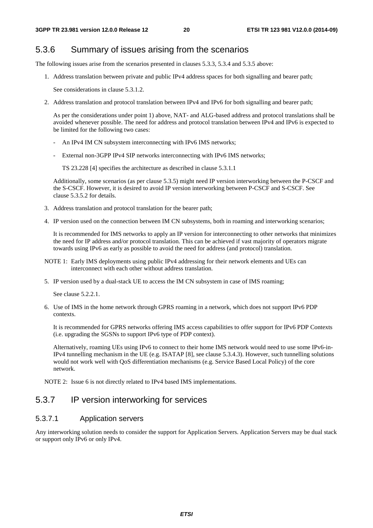### 5.3.6 Summary of issues arising from the scenarios

The following issues arise from the scenarios presented in clauses 5.3.3, 5.3.4 and 5.3.5 above:

1. Address translation between private and public IPv4 address spaces for both signalling and bearer path;

See considerations in clause 5.3.1.2.

2. Address translation and protocol translation between IPv4 and IPv6 for both signalling and bearer path;

 As per the considerations under point 1) above, NAT- and ALG-based address and protocol translations shall be avoided whenever possible. The need for address and protocol translation between IPv4 and IPv6 is expected to be limited for the following two cases:

- An IPv4 IM CN subsystem interconnecting with IPv6 IMS networks:
- External non-3GPP IPv4 SIP networks interconnecting with IPv6 IMS networks;

TS 23.228 [4] specifies the architecture as described in clause 5.3.1.1

 Additionally, some scenarios (as per clause 5.3.5) might need IP version interworking between the P-CSCF and the S-CSCF. However, it is desired to avoid IP version interworking between P-CSCF and S-CSCF. See clause 5.3.5.2 for details.

- 3. Address translation and protocol translation for the bearer path;
- 4. IP version used on the connection between IM CN subsystems, both in roaming and interworking scenarios;

 It is recommended for IMS networks to apply an IP version for interconnecting to other networks that minimizes the need for IP address and/or protocol translation. This can be achieved if vast majority of operators migrate towards using IPv6 as early as possible to avoid the need for address (and protocol) translation.

- NOTE 1: Early IMS deployments using public IPv4 addressing for their network elements and UEs can interconnect with each other without address translation.
- 5. IP version used by a dual-stack UE to access the IM CN subsystem in case of IMS roaming;

See clause 5.2.2.1.

6. Use of IMS in the home network through GPRS roaming in a network, which does not support IPv6 PDP contexts.

 It is recommended for GPRS networks offering IMS access capabilities to offer support for IPv6 PDP Contexts (i.e. upgrading the SGSNs to support IPv6 type of PDP context).

 Alternatively, roaming UEs using IPv6 to connect to their home IMS network would need to use some IPv6-in-IPv4 tunnelling mechanism in the UE (e.g. ISATAP [8], see clause 5.3.4.3). However, such tunnelling solutions would not work well with QoS differentiation mechanisms (e.g. Service Based Local Policy) of the core network.

NOTE 2: Issue 6 is not directly related to IPv4 based IMS implementations.

### 5.3.7 IP version interworking for services

#### 5.3.7.1 Application servers

Any interworking solution needs to consider the support for Application Servers. Application Servers may be dual stack or support only IPv6 or only IPv4.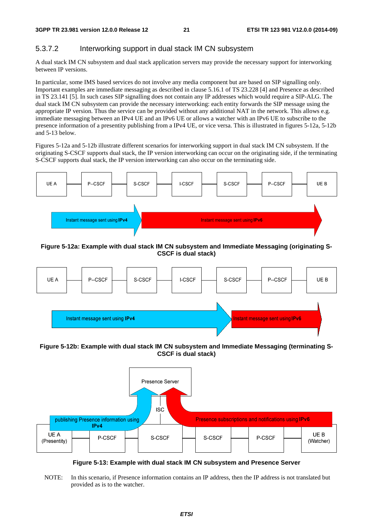#### 5.3.7.2 Interworking support in dual stack IM CN subsystem

A dual stack IM CN subsystem and dual stack application servers may provide the necessary support for interworking between IP versions.

In particular, some IMS based services do not involve any media component but are based on SIP signalling only. Important examples are immediate messaging as described in clause 5.16.1 of TS 23.228 [4] and Presence as described in TS 23.141 [5]. In such cases SIP signalling does not contain any IP addresses which would require a SIP-ALG. The dual stack IM CN subsystem can provide the necessary interworking: each entity forwards the SIP message using the appropriate IP version. Thus the service can be provided without any additional NAT in the network. This allows e.g. immediate messaging between an IPv4 UE and an IPv6 UE or allows a watcher with an IPv6 UE to subscribe to the presence information of a presentity publishing from a IPv4 UE, or vice versa. This is illustrated in figures 5-12a, 5-12b and 5-13 below.

Figures 5-12a and 5-12b illustrate different scenarios for interworking support in dual stack IM CN subsystem. If the originating S-CSCF supports dual stack, the IP version interworking can occur on the originating side, if the terminating S-CSCF supports dual stack, the IP version interworking can also occur on the terminating side.



#### **Figure 5-12a: Example with dual stack IM CN subsystem and Immediate Messaging (originating S-CSCF is dual stack)**



**Figure 5-12b: Example with dual stack IM CN subsystem and Immediate Messaging (terminating S-CSCF is dual stack)** 



**Figure 5-13: Example with dual stack IM CN subsystem and Presence Server** 

NOTE: In this scenario, if Presence information contains an IP address, then the IP address is not translated but provided as is to the watcher.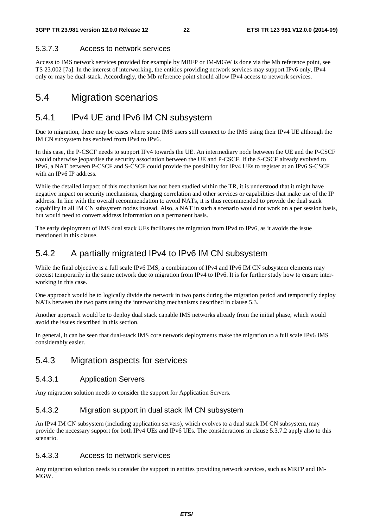#### 5.3.7.3 Access to network services

Access to IMS network services provided for example by MRFP or IM-MGW is done via the Mb reference point, see TS 23.002 [7a]. In the interest of interworking, the entities providing network services may support IPv6 only, IPv4 only or may be dual-stack. Accordingly, the Mb reference point should allow IPv4 access to network services.

## 5.4 Migration scenarios

## 5.4.1 IPv4 UE and IPv6 IM CN subsystem

Due to migration, there may be cases where some IMS users still connect to the IMS using their IPv4 UE although the IM CN subsystem has evolved from IPv4 to IPv6.

In this case, the P-CSCF needs to support IPv4 towards the UE. An intermediary node between the UE and the P-CSCF would otherwise jeopardise the security association between the UE and P-CSCF. If the S-CSCF already evolved to IPv6, a NAT between P-CSCF and S-CSCF could provide the possibility for IPv4 UEs to register at an IPv6 S-CSCF with an IPv6 IP address.

While the detailed impact of this mechanism has not been studied within the TR, it is understood that it might have negative impact on security mechanisms, charging correlation and other services or capabilities that make use of the IP address. In line with the overall recommendation to avoid NATs, it is thus recommended to provide the dual stack capability in all IM CN subsystem nodes instead. Also, a NAT in such a scenario would not work on a per session basis, but would need to convert address information on a permanent basis.

The early deployment of IMS dual stack UEs facilitates the migration from IPv4 to IPv6, as it avoids the issue mentioned in this clause.

## 5.4.2 A partially migrated IPv4 to IPv6 IM CN subsystem

While the final objective is a full scale IPv6 IMS, a combination of IPv4 and IPv6 IM CN subsystem elements may coexist temporarily in the same network due to migration from IPv4 to IPv6. It is for further study how to ensure interworking in this case.

One approach would be to logically divide the network in two parts during the migration period and temporarily deploy NATs between the two parts using the interworking mechanisms described in clause 5.3.

Another approach would be to deploy dual stack capable IMS networks already from the initial phase, which would avoid the issues described in this section.

In general, it can be seen that dual-stack IMS core network deployments make the migration to a full scale IPv6 IMS considerably easier.

### 5.4.3 Migration aspects for services

#### 5.4.3.1 Application Servers

Any migration solution needs to consider the support for Application Servers.

#### 5.4.3.2 Migration support in dual stack IM CN subsystem

An IPv4 IM CN subsystem (including application servers), which evolves to a dual stack IM CN subsystem, may provide the necessary support for both IPv4 UEs and IPv6 UEs. The considerations in clause 5.3.7.2 apply also to this scenario.

#### 5.4.3.3 Access to network services

Any migration solution needs to consider the support in entities providing network services, such as MRFP and IM-MGW.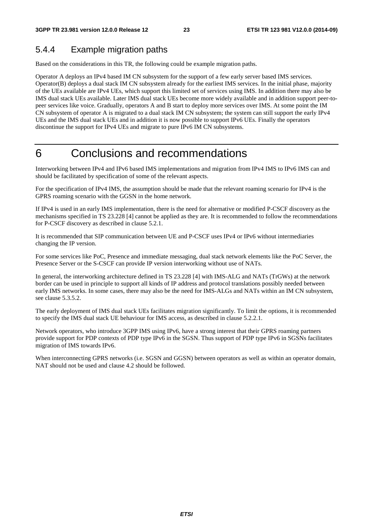## 5.4.4 Example migration paths

Based on the considerations in this TR, the following could be example migration paths.

Operator A deploys an IPv4 based IM CN subsystem for the support of a few early server based IMS services. Operator(B) deploys a dual stack IM CN subsystem already for the earliest IMS services. In the initial phase, majority of the UEs available are IPv4 UEs, which support this limited set of services using IMS. In addition there may also be IMS dual stack UEs available. Later IMS dual stack UEs become more widely available and in addition support peer-topeer services like voice. Gradually, operators A and B start to deploy more services over IMS. At some point the IM CN subsystem of operator A is migrated to a dual stack IM CN subsystem; the system can still support the early IPv4 UEs and the IMS dual stack UEs and in addition it is now possible to support IPv6 UEs. Finally the operators discontinue the support for IPv4 UEs and migrate to pure IPv6 IM CN subsystems.

## 6 Conclusions and recommendations

Interworking between IPv4 and IPv6 based IMS implementations and migration from IPv4 IMS to IPv6 IMS can and should be facilitated by specification of some of the relevant aspects.

For the specification of IPv4 IMS, the assumption should be made that the relevant roaming scenario for IPv4 is the GPRS roaming scenario with the GGSN in the home network.

If IPv4 is used in an early IMS implementation, there is the need for alternative or modified P-CSCF discovery as the mechanisms specified in TS 23.228 [4] cannot be applied as they are. It is recommended to follow the recommendations for P-CSCF discovery as described in clause 5.2.1.

It is recommended that SIP communication between UE and P-CSCF uses IPv4 or IPv6 without intermediaries changing the IP version.

For some services like PoC, Presence and immediate messaging, dual stack network elements like the PoC Server, the Presence Server or the S-CSCF can provide IP version interworking without use of NATs.

In general, the interworking architecture defined in TS 23.228 [4] with IMS-ALG and NATs (TrGWs) at the network border can be used in principle to support all kinds of IP address and protocol translations possibly needed between early IMS networks. In some cases, there may also be the need for IMS-ALGs and NATs within an IM CN subsystem, see clause 5.3.5.2.

The early deployment of IMS dual stack UEs facilitates migration significantly. To limit the options, it is recommended to specify the IMS dual stack UE behaviour for IMS access, as described in clause 5.2.2.1.

Network operators, who introduce 3GPP IMS using IPv6, have a strong interest that their GPRS roaming partners provide support for PDP contexts of PDP type IPv6 in the SGSN. Thus support of PDP type IPv6 in SGSNs facilitates migration of IMS towards IPv6.

When interconnecting GPRS networks (i.e. SGSN and GGSN) between operators as well as within an operator domain, NAT should not be used and clause 4.2 should be followed.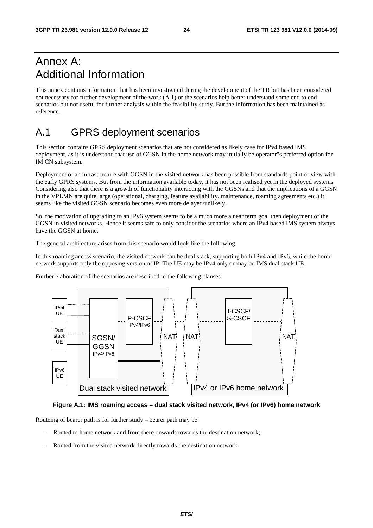## Annex A: Additional Information

This annex contains information that has been investigated during the development of the TR but has been considered not necessary for further development of the work (A.1) or the scenarios help better understand some end to end scenarios but not useful for further analysis within the feasibility study. But the information has been maintained as reference.

## A.1 GPRS deployment scenarios

This section contains GPRS deployment scenarios that are not considered as likely case for IPv4 based IMS deployment, as it is understood that use of GGSN in the home network may initially be operator"s preferred option for IM CN subsystem.

Deployment of an infrastructure with GGSN in the visited network has been possible from standards point of view with the early GPRS systems. But from the information available today, it has not been realised yet in the deployed systems. Considering also that there is a growth of functionality interacting with the GGSNs and that the implications of a GGSN in the VPLMN are quite large (operational, charging, feature availability, maintenance, roaming agreements etc.) it seems like the visited GGSN scenario becomes even more delayed/unlikely.

So, the motivation of upgrading to an IPv6 system seems to be a much more a near term goal then deployment of the GGSN in visited networks. Hence it seems safe to only consider the scenarios where an IPv4 based IMS system always have the GGSN at home.

The general architecture arises from this scenario would look like the following:

In this roaming access scenario, the visited network can be dual stack, supporting both IPv4 and IPv6, while the home network supports only the opposing version of IP. The UE may be IPv4 only or may be IMS dual stack UE.

Further elaboration of the scenarios are described in the following clauses.



#### **Figure A.1: IMS roaming access – dual stack visited network, IPv4 (or IPv6) home network**

Routeing of bearer path is for further study – bearer path may be:

- Routed to home network and from there onwards towards the destination network;
- Routed from the visited network directly towards the destination network.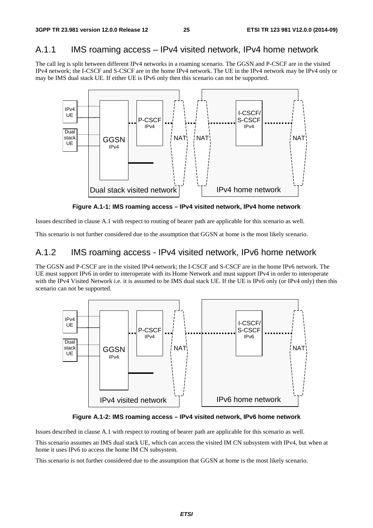## A.1.1 IMS roaming access – IPv4 visited network, IPv4 home network

The call leg is split between different IPv4 networks in a roaming scenario. The GGSN and P-CSCF are in the visited IPv4 network; the I-CSCF and S-CSCF are in the home IPv4 network. The UE in the IPv4 network may be IPv4 only or may be IMS dual stack UE. If either UE is IPv6 only then this scenario can not be supported.



**Figure A.1-1: IMS roaming access – IPv4 visited network, IPv4 home network** 

Issues described in clause A.1 with respect to routing of bearer path are applicable for this scenario as well.

This scenario is not further considered due to the assumption that GGSN at home is the most likely scenario.

### A.1.2 IMS roaming access - IPv4 visited network, IPv6 home network

The GGSN and P-CSCF are in the visited IPv4 network; the I-CSCF and S-CSCF are in the home IPv6 network. The UE must support IPv6 in order to interoperate with its Home Network and must support IPv4 in order to interoperate with the IPv4 Visited Network i.e. it is assumed to be IMS dual stack UE. If the UE is IPv6 only (or IPv4 only) then this scenario can not be supported.



**Figure A.1-2: IMS roaming access – IPv4 visited network, IPv6 home network** 

Issues described in clause A.1 with respect to routing of bearer path are applicable for this scenario as well.

This scenario assumes an IMS dual stack UE, which can access the visited IM CN subsystem with IPv4, but when at home it uses IPv6 to access the home IM CN subsystem.

This scenario is not further considered due to the assumption that GGSN at home is the most likely scenario.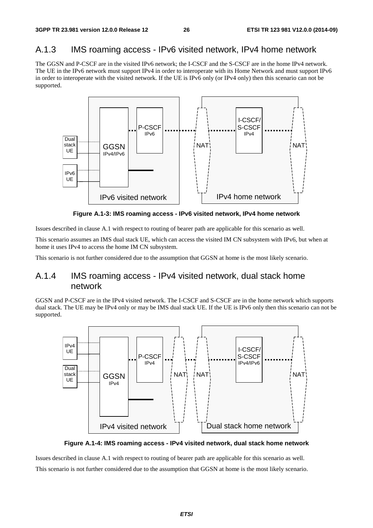## A.1.3 IMS roaming access - IPv6 visited network, IPv4 home network

The GGSN and P-CSCF are in the visited IPv6 network; the I-CSCF and the S-CSCF are in the home IPv4 network. The UE in the IPv6 network must support IPv4 in order to interoperate with its Home Network and must support IPv6 in order to interoperate with the visited network. If the UE is IPv6 only (or IPv4 only) then this scenario can not be supported.



**Figure A.1-3: IMS roaming access - IPv6 visited network, IPv4 home network** 

Issues described in clause A.1 with respect to routing of bearer path are applicable for this scenario as well.

This scenario assumes an IMS dual stack UE, which can access the visited IM CN subsystem with IPv6, but when at home it uses IPv4 to access the home IM CN subsystem.

This scenario is not further considered due to the assumption that GGSN at home is the most likely scenario.

## A.1.4 IMS roaming access - IPv4 visited network, dual stack home network

GGSN and P-CSCF are in the IPv4 visited network. The I-CSCF and S-CSCF are in the home network which supports dual stack. The UE may be IPv4 only or may be IMS dual stack UE. If the UE is IPv6 only then this scenario can not be supported.



**Figure A.1-4: IMS roaming access - IPv4 visited network, dual stack home network** 

Issues described in clause A.1 with respect to routing of bearer path are applicable for this scenario as well. This scenario is not further considered due to the assumption that GGSN at home is the most likely scenario.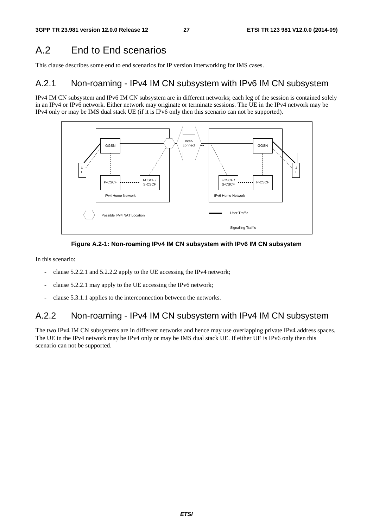## A.2 End to End scenarios

This clause describes some end to end scenarios for IP version interworking for IMS cases.

### A.2.1 Non-roaming - IPv4 IM CN subsystem with IPv6 IM CN subsystem

IPv4 IM CN subsystem and IPv6 IM CN subsystem are in different networks; each leg of the session is contained solely in an IPv4 or IPv6 network. Either network may originate or terminate sessions. The UE in the IPv4 network may be IPv4 only or may be IMS dual stack UE (if it is IPv6 only then this scenario can not be supported).





In this scenario:

- clause 5.2.2.1 and 5.2.2.2 apply to the UE accessing the IPv4 network;
- clause 5.2.2.1 may apply to the UE accessing the IPv6 network;
- clause 5.3.1.1 applies to the interconnection between the networks.

## A.2.2 Non-roaming - IPv4 IM CN subsystem with IPv4 IM CN subsystem

The two IPv4 IM CN subsystems are in different networks and hence may use overlapping private IPv4 address spaces. The UE in the IPv4 network may be IPv4 only or may be IMS dual stack UE. If either UE is IPv6 only then this scenario can not be supported.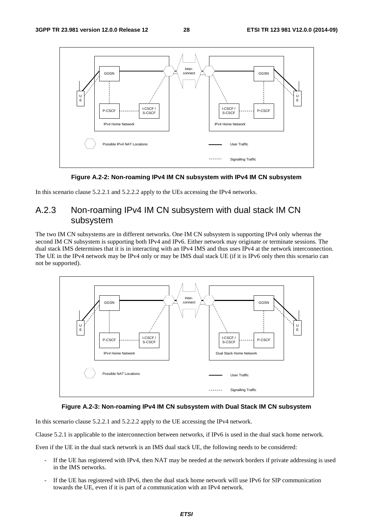

**Figure A.2-2: Non-roaming IPv4 IM CN subsystem with IPv4 IM CN subsystem** 

In this scenario clause 5.2.2.1 and 5.2.2.2 apply to the UEs accessing the IPv4 networks.

## A.2.3 Non-roaming IPv4 IM CN subsystem with dual stack IM CN subsystem

The two IM CN subsystems are in different networks. One IM CN subsystem is supporting IPv4 only whereas the second IM CN subsystem is supporting both IPv4 and IPv6. Either network may originate or terminate sessions. The dual stack IMS determines that it is in interacting with an IPv4 IMS and thus uses IPv4 at the network interconnection. The UE in the IPv4 network may be IPv4 only or may be IMS dual stack UE (if it is IPv6 only then this scenario can not be supported).



#### **Figure A.2-3: Non-roaming IPv4 IM CN subsystem with Dual Stack IM CN subsystem**

In this scenario clause 5.2.2.1 and 5.2.2.2 apply to the UE accessing the IPv4 network.

Clause 5.2.1 is applicable to the interconnection between networks, if IPv6 is used in the dual stack home network.

Even if the UE in the dual stack network is an IMS dual stack UE, the following needs to be considered:

- If the UE has registered with IPv4, then NAT may be needed at the network borders if private addressing is used in the IMS networks.
- If the UE has registered with IPv6, then the dual stack home network will use IPv6 for SIP communication towards the UE, even if it is part of a communication with an IPv4 network.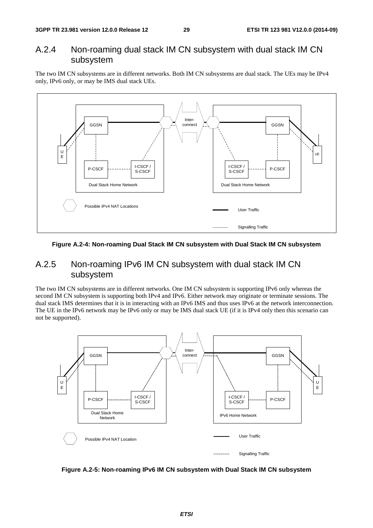### A.2.4 Non-roaming dual stack IM CN subsystem with dual stack IM CN subsystem

The two IM CN subsystems are in different networks. Both IM CN subsystems are dual stack. The UEs may be IPv4 only, IPv6 only, or may be IMS dual stack UEs.



#### **Figure A.2-4: Non-roaming Dual Stack IM CN subsystem with Dual Stack IM CN subsystem**

### A.2.5 Non-roaming IPv6 IM CN subsystem with dual stack IM CN subsystem

The two IM CN subsystems are in different networks. One IM CN subsystem is supporting IPv6 only whereas the second IM CN subsystem is supporting both IPv4 and IPv6. Either network may originate or terminate sessions. The dual stack IMS determines that it is in interacting with an IPv6 IMS and thus uses IPv6 at the network interconnection. The UE in the IPv6 network may be IPv6 only or may be IMS dual stack UE (if it is IPv4 only then this scenario can not be supported).



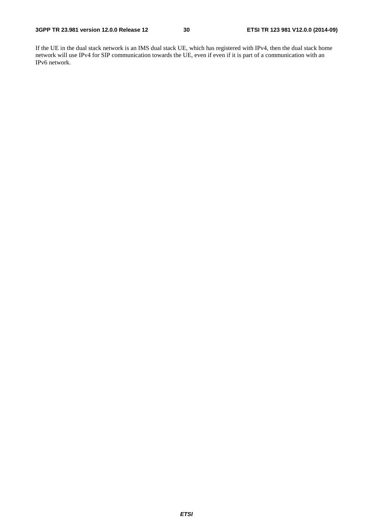If the UE in the dual stack network is an IMS dual stack UE, which has registered with IPv4, then the dual stack home network will use IPv4 for SIP communication towards the UE, even if even if it is part of a communication with an IPv6 network.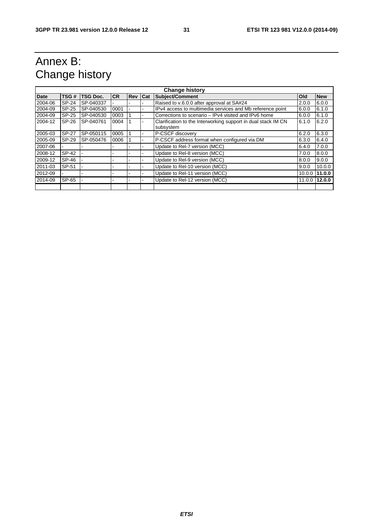## Annex B: Change history

| <b>Change history</b> |              |           |           |            |            |                                                                            |        |            |
|-----------------------|--------------|-----------|-----------|------------|------------|----------------------------------------------------------------------------|--------|------------|
| <b>Date</b>           | TSG#         | TSG Doc.  | <b>CR</b> | <b>Rev</b> | <b>Cat</b> | <b>Subject/Comment</b>                                                     | Old    | <b>New</b> |
| 2004-06               | <b>SP-24</b> | SP-040337 |           |            |            | Raised to v.6.0.0 after approval at SA#24                                  | 2.0.0  | 6.0.0      |
| 2004-09               | SP-25        | SP-040530 | 0001      |            |            | IPv4 access to multimedia services and Mb reference point                  | 6.0.0  | 6.1.0      |
| 2004-09               | SP-25        | SP-040530 | 0003      |            |            | Corrections to scenario – IPv4 visited and IPv6 home                       | 6.0.0  | 6.1.0      |
| 2004-12               | SP-26        | SP-040761 | 0004      |            |            | Clarification to the Interworking support in dual stack IM CN<br>subsystem | 6.1.0  | 6.2.0      |
| 2005-03               | <b>SP-27</b> | SP-050115 | 0005      |            |            | P-CSCF discovery                                                           | 6.2.0  | 6.3.0      |
| 2005-09               | SP-29        | SP-050476 | 0006      |            |            | P-CSCF address format when configured via DM                               | 6.3.0  | 6.4.0      |
| 2007-06               |              |           |           |            |            | Update to Rel-7 version (MCC)                                              | 6.4.0  | 7.0.0      |
| 2008-12               | SP-42        |           |           |            |            | Update to Rel-8 version (MCC)                                              | 7.0.0  | 8.0.0      |
| 2009-12               | SP-46        |           |           |            |            | Update to Rel-9 version (MCC)                                              | 8.0.0  | 9.0.0      |
| 2011-03               | SP-51        |           |           |            |            | Update to Rel-10 version (MCC)                                             | 9.0.0  | 10.0.0     |
| 2012-09               |              |           |           |            |            | Update to Rel-11 version (MCC)                                             | 10.0.0 | 11.0.0     |
| 2014-09               | <b>SP-65</b> |           |           |            |            | Update to Rel-12 version (MCC)                                             | 11.0.0 | 12.0.0     |
|                       |              |           |           |            |            |                                                                            |        |            |